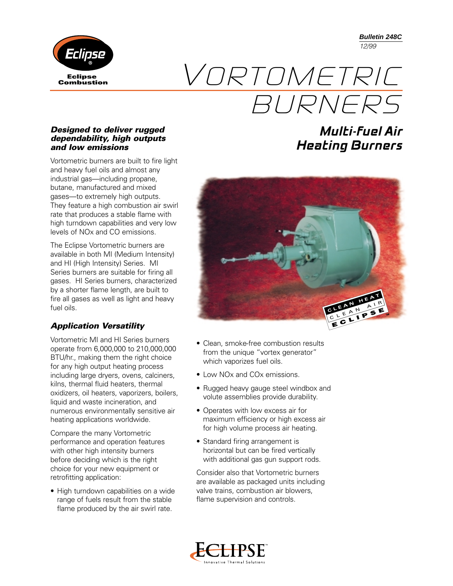**Bulletin 248C** *12/99*



# **Combustion** VORTOMETRIC BURNERS

#### *Designed to deliver rugged dependability, high outputs and low emissions*

Vortometric burners are built to fire light and heavy fuel oils and almost any industrial gas—including propane, butane, manufactured and mixed gases—to extremely high outputs. They feature a high combustion air swirl rate that produces a stable flame with high turndown capabilities and very low levels of NOx and CO emissions.

The Eclipse Vortometric burners are available in both MI (Medium Intensity) and HI (High Intensity) Series. MI Series burners are suitable for firing all gases. HI Series burners, characterized by a shorter flame length, are built to fire all gases as well as light and heavy fuel oils.

#### *Application Versatility*

Vortometric MI and HI Series burners operate from 6,000,000 to 210,000,000 BTU/hr., making them the right choice for any high output heating process including large dryers, ovens, calciners, kilns, thermal fluid heaters, thermal oxidizers, oil heaters, vaporizers, boilers, liquid and waste incineration, and numerous environmentally sensitive air heating applications worldwide.

Compare the many Vortometric performance and operation features with other high intensity burners before deciding which is the right choice for your new equipment or retrofitting application:

• High turndown capabilities on a wide range of fuels result from the stable flame produced by the air swirl rate.

## **Multi-fuel Air Heating Burners**



- Clean, smoke-free combustion results from the unique "vortex generator" which vaporizes fuel oils.
- Low NOx and COx emissions.
- Rugged heavy gauge steel windbox and volute assemblies provide durability.
- Operates with low excess air for maximum efficiency or high excess air for high volume process air heating.
- Standard firing arrangement is horizontal but can be fired vertically with additional gas gun support rods.

Consider also that Vortometric burners are available as packaged units including valve trains, combustion air blowers, flame supervision and controls.